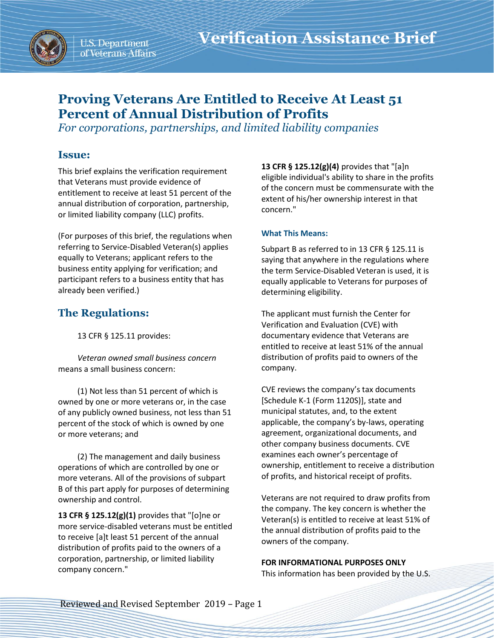

U.S. Department of Veterans Affairs

## **Proving Veterans Are Entitled to Receive At Least 51 Percent of Annual Distribution of Profits**

*For corporations, partnerships, and limited liability companies*

#### **Issue:**

This brief explains the verification requirement that Veterans must provide evidence of entitlement to receive at least 51 percent of the annual distribution of corporation, partnership, or limited liability company (LLC) profits.

(For purposes of this brief, the regulations when referring to Service-Disabled Veteran(s) applies equally to Veterans; applicant refers to the business entity applying for verification; and participant refers to a business entity that has already been verified.)

### **The Regulations:**

13 CFR § 125.11 provides:

*Veteran owned small business concern* means a small business concern:

(1) Not less than 51 percent of which is owned by one or more veterans or, in the case of any publicly owned business, not less than 51 percent of the stock of which is owned by one or more veterans; and

(2) The management and daily business operations of which are controlled by one or more veterans. All of the provisions of subpart B of this part apply for purposes of determining ownership and control.

**13 CFR § 125.12(g)(1)** provides that "[o]ne or more service-disabled veterans must be entitled to receive [a]t least 51 percent of the annual distribution of profits paid to the owners of a corporation, partnership, or limited liability company concern."

**13 CFR § 125.12(g)(4)** provides that "[a]n eligible individual's ability to share in the profits of the concern must be commensurate with the extent of his/her ownership interest in that concern."

#### **What This Means:**

Subpart B as referred to in 13 CFR § 125.11 is saying that anywhere in the regulations where the term Service-Disabled Veteran is used, it is equally applicable to Veterans for purposes of determining eligibility.

The applicant must furnish the Center for Verification and Evaluation (CVE) with documentary evidence that Veterans are entitled to receive at least 51% of the annual distribution of profits paid to owners of the company.

CVE reviews the company's tax documents [Schedule K-1 (Form 1120S)], state and municipal statutes, and, to the extent applicable, the company's by-laws, operating agreement, organizational documents, and other company business documents. CVE examines each owner's percentage of ownership, entitlement to receive a distribution of profits, and historical receipt of profits.

Veterans are not required to draw profits from the company. The key concern is whether the Veteran(s) is entitled to receive at least 51% of the annual distribution of profits paid to the owners of the company.

# **FOR INFORMATIONAL PURPOSES ONLY**

This information has been provided by the U.S.